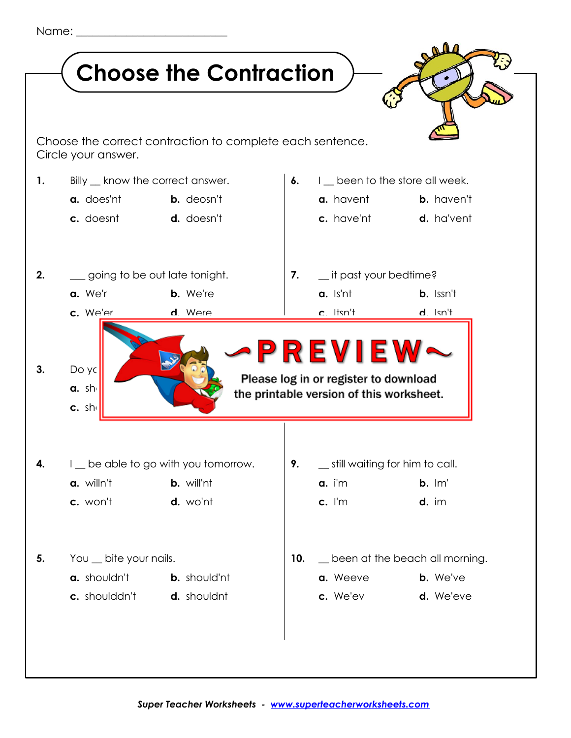